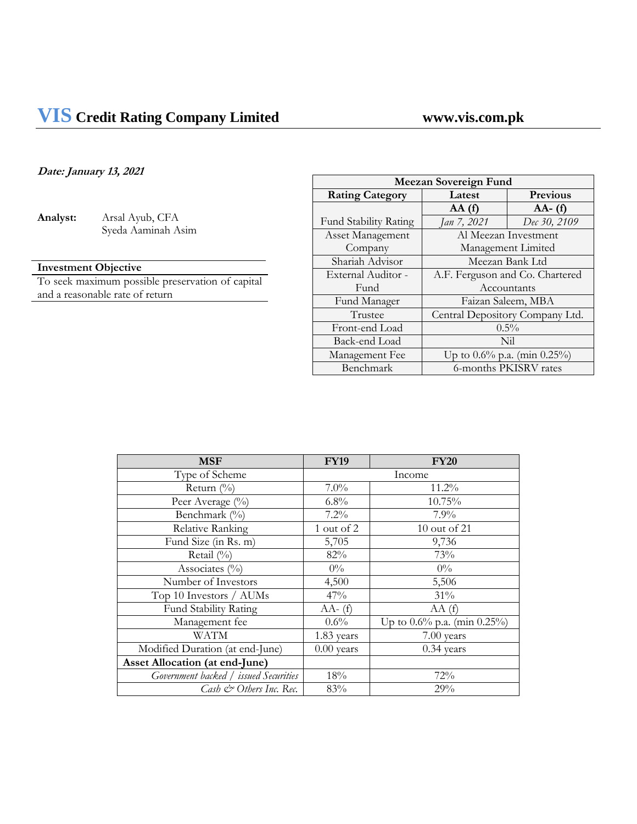# **VIS Credit Rating Company Limited www.vis.com.pk**

# **Date: January 13, 2021**

**Analyst:** Arsal Ayub, CFA Syeda Aaminah Asim

# **Investment Objective**

To seek maximum possible preservation of capital and a reasonable rate of return

| <b>Meezan Sovereign Fund</b> |                                    |                       |
|------------------------------|------------------------------------|-----------------------|
| <b>Rating Category</b>       | Previous<br>Latest                 |                       |
|                              | AA(f)                              | $AA - (f)$            |
| Fund Stability Rating        | Jan 7, 2021                        | Dec 30, 2109          |
| <b>Asset Management</b>      |                                    | Al Meezan Investment  |
| Company                      | Management Limited                 |                       |
| Shariah Advisor              | Meezan Bank Ltd                    |                       |
| External Auditor -           | A.F. Ferguson and Co. Chartered    |                       |
| Fund                         | Accountants                        |                       |
| Fund Manager                 | Faizan Saleem, MBA                 |                       |
| Trustee                      | Central Depository Company Ltd.    |                       |
| Front-end Load               |                                    | $0.5\%$               |
| Back-end Load                |                                    | Nil                   |
| Management Fee               | Up to $0.6\%$ p.a. (min $0.25\%$ ) |                       |
| Benchmark                    |                                    | 6-months PKISRV rates |

| <b>MSF</b>                            | <b>FY19</b>  | <b>FY20</b>                        |
|---------------------------------------|--------------|------------------------------------|
| Type of Scheme                        | Income       |                                    |
| Return $(\%$                          | $7.0\%$      | 11.2%                              |
| Peer Average (%)                      | 6.8%         | 10.75%                             |
| Benchmark (%)                         | $7.2\%$      | 7.9%                               |
| <b>Relative Ranking</b>               | 1 out of 2   | 10 out of 21                       |
| Fund Size (in Rs. m)                  | 5,705        | 9,736                              |
| Retail (%)                            | 82%          | 73%                                |
| Associates $(\% )$                    | $0\%$        | $0\%$                              |
| Number of Investors                   | 4,500        | 5,506                              |
| Top 10 Investors / AUMs               | 47%          | 31%                                |
| Fund Stability Rating                 | $AA-$ (f)    | AA(f)                              |
| Management fee                        | $0.6\%$      | Up to $0.6\%$ p.a. (min $0.25\%$ ) |
| WATM                                  | 1.83 years   | 7.00 years                         |
| Modified Duration (at end-June)       | $0.00$ years | $0.34$ years                       |
| <b>Asset Allocation (at end-June)</b> |              |                                    |
| Government backed / issued Securities | 18%          | 72%                                |
| Cash & Others Inc. Rec.               | 83%          | 29%                                |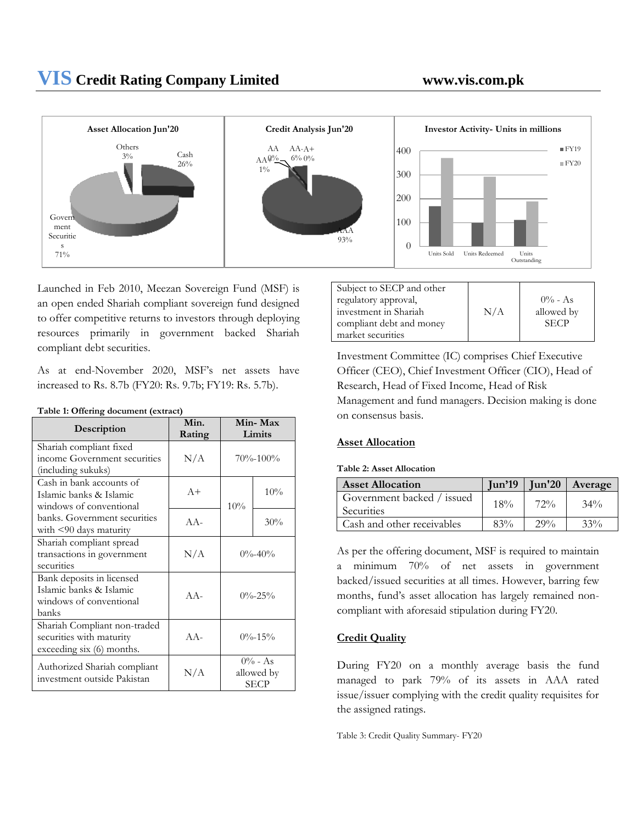

Launched in Feb 2010, Meezan Sovereign Fund (MSF) is an open ended Shariah compliant sovereign fund designed to offer competitive returns to investors through deploying resources primarily in government backed Shariah compliant debt securities.

As at end-November 2020, MSF's net assets have increased to Rs. 8.7b (FY20: Rs. 9.7b; FY19: Rs. 5.7b).

| Description                                                                              | Min.<br>Rating | Min-Max<br>Limits                       |     |
|------------------------------------------------------------------------------------------|----------------|-----------------------------------------|-----|
| Shariah compliant fixed<br>income Government securities<br>(including sukuks)            | N/A            | $70\% - 100\%$                          |     |
| Cash in bank accounts of<br>Islamic banks & Islamic<br>windows of conventional           | $A+$           | 10%                                     | 10% |
| banks. Government securities<br>with $\leq$ 90 days maturity                             | $AA-$          |                                         | 30% |
| Shariah compliant spread<br>transactions in government<br>securities                     | N/A            | $0\% - 40\%$                            |     |
| Bank deposits in licensed<br>Islamic banks & Islamic<br>windows of conventional<br>banks | $AA -$         | $0\% - 25\%$                            |     |
| Shariah Compliant non-traded<br>securities with maturity<br>exceeding six (6) months.    | $AA -$         | $0\% - 15\%$                            |     |
| Authorized Shariah compliant<br>investment outside Pakistan                              | N/A            | $0\%$ - As<br>allowed by<br><b>SECP</b> |     |

**Table 1: Offering document (extract)**

| Subject to SECP and other |     |             |
|---------------------------|-----|-------------|
| regulatory approval,      |     | $0\%$ - As  |
| investment in Shariah     | N/A | allowed by  |
| compliant debt and money  |     | <b>SECP</b> |
| market securities         |     |             |

Investment Committee (IC) comprises Chief Executive Officer (CEO), Chief Investment Officer (CIO), Head of Research, Head of Fixed Income, Head of Risk Management and fund managers. Decision making is done on consensus basis.

### **Asset Allocation**

#### **Table 2: Asset Allocation**

| <b>Asset Allocation</b>                  |     |        | $\lceil$ lun'19   $\lceil$ lun'20   Average |
|------------------------------------------|-----|--------|---------------------------------------------|
| Government backed / issued<br>Securities | 18% | $72\%$ | $34\%$                                      |
| Cash and other receivables               | 83% | $29\%$ | 33%                                         |

As per the offering document, MSF is required to maintain a minimum 70% of net assets in government backed/issued securities at all times. However, barring few months, fund's asset allocation has largely remained noncompliant with aforesaid stipulation during FY20.

## **Credit Quality**

During FY20 on a monthly average basis the fund managed to park 79% of its assets in AAA rated issue/issuer complying with the credit quality requisites for the assigned ratings.

Table 3: Credit Quality Summary- FY20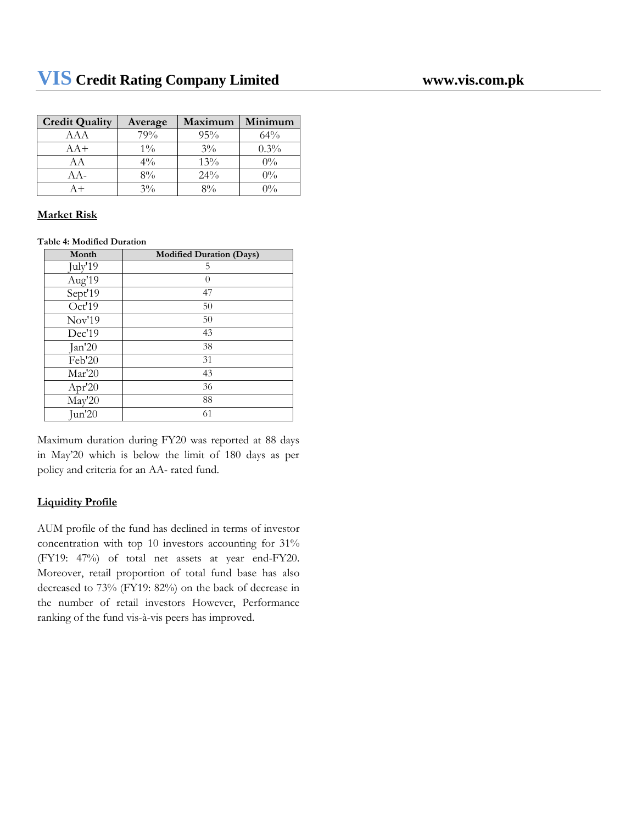| <b>Credit Quality</b> | Average        | Maximum | Minimum |
|-----------------------|----------------|---------|---------|
| AAA                   | 79%            | 95%     | $64\%$  |
| $AA+$                 | $1\%$          | $3\%$   | $0.3\%$ |
| АA                    | $4\frac{0}{0}$ | 13%     | $0\%$   |
| A A -                 | $8\%$          | $24\%$  | $0\%$   |
|                       | $3\%$          | 80/     | $0\%$   |

#### **Market Risk**

**Table 4: Modified Duration**

| Month           | <b>Modified Duration (Days)</b> |
|-----------------|---------------------------------|
| July'19         | 5                               |
| Aug'19          | $\theta$                        |
| Sept'19         | 47                              |
| Oct'19          | 50                              |
| Nov'19          | 50                              |
| Dec'19          | 43                              |
| Jan'20          | 38                              |
| Feb'20          | 31                              |
| Mar'20          | 43                              |
| Apr'20          | 36                              |
| May'20          | 88                              |
| $\text{Jun}'20$ | 61                              |

Maximum duration during FY20 was reported at 88 days in May'20 which is below the limit of 180 days as per policy and criteria for an AA- rated fund.

### **Liquidity Profile**

AUM profile of the fund has declined in terms of investor concentration with top 10 investors accounting for 31% (FY19: 47%) of total net assets at year end-FY20. Moreover, retail proportion of total fund base has also decreased to 73% (FY19: 82%) on the back of decrease in the number of retail investors However, Performance ranking of the fund vis-à-vis peers has improved.